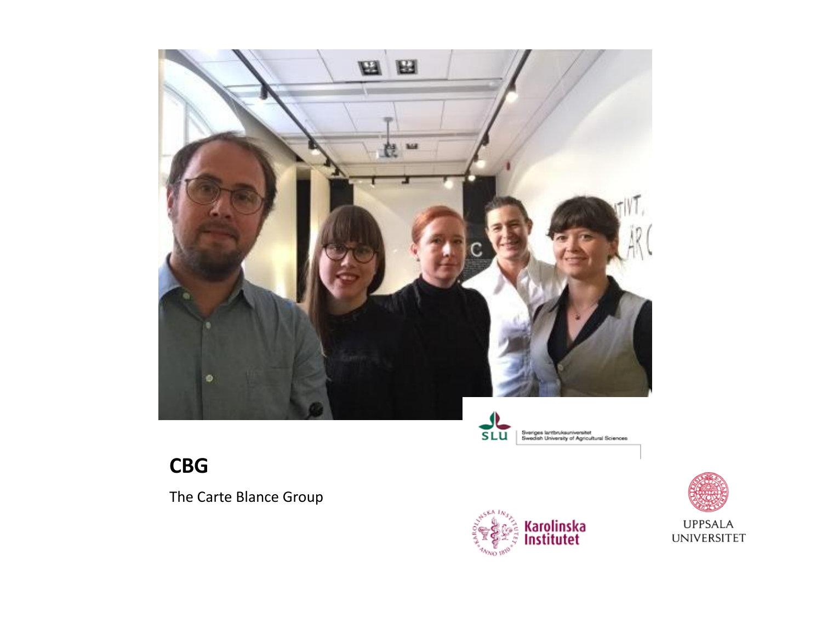

#### **CBG**

The Carte Blance Group





**UPPSALA UNIVERSITET**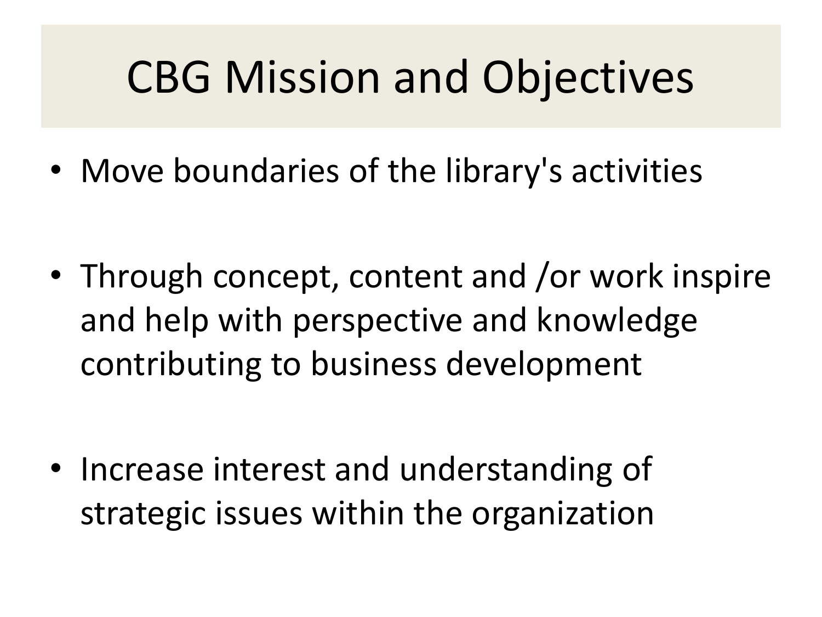# CBG Mission and Objectives

• Move boundaries of the library's activities

• Through concept, content and /or work inspire and help with perspective and knowledge contributing to business development

• Increase interest and understanding of strategic issues within the organization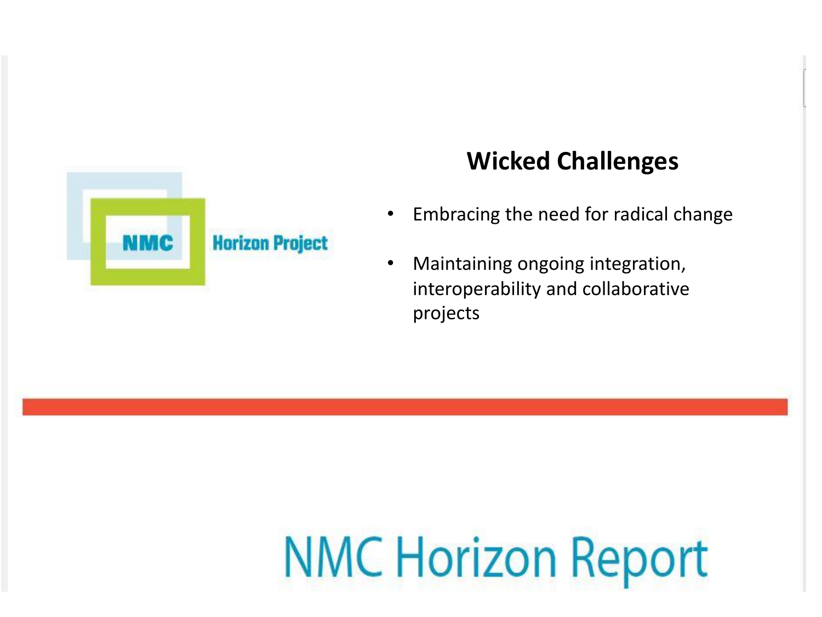

#### **Wicked Challenges**

- Embracing the need for radical change
- Maintaining ongoing integration, interoperability and collaborative projects

# **NMC Horizon Report**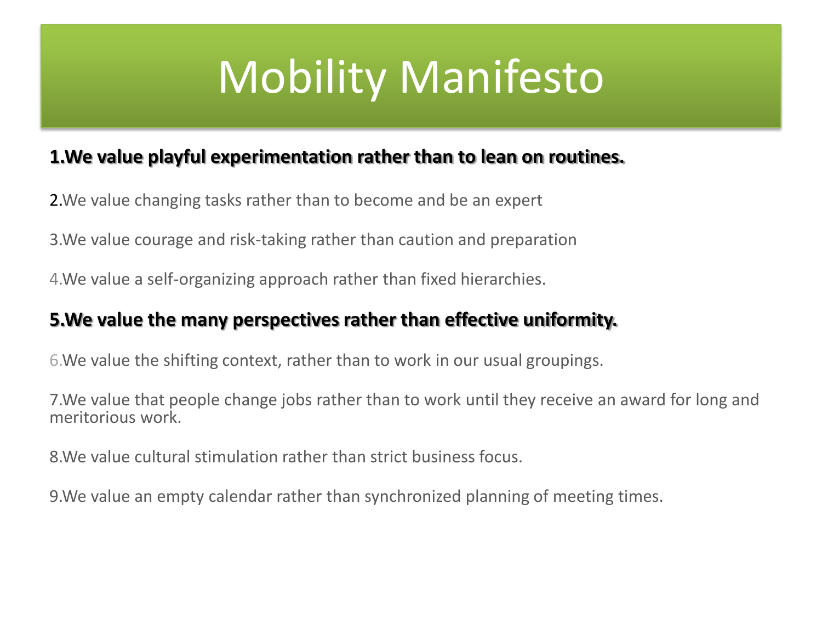# Mobility Manifesto

#### **1.We value playful experimentation rather than to lean on routines.**

2.We value changing tasks rather than to become and be an expert

3.We value courage and risk-taking rather than caution and preparation

4.We value a self-organizing approach rather than fixed hierarchies.

#### **5.We value the many perspectives rather than effective uniformity.**

6.We value the shifting context, rather than to work in our usual groupings.

7.We value that people change jobs rather than to work until they receive an award for long and meritorious work.

8.We value cultural stimulation rather than strict business focus.

9.We value an empty calendar rather than synchronized planning of meeting times.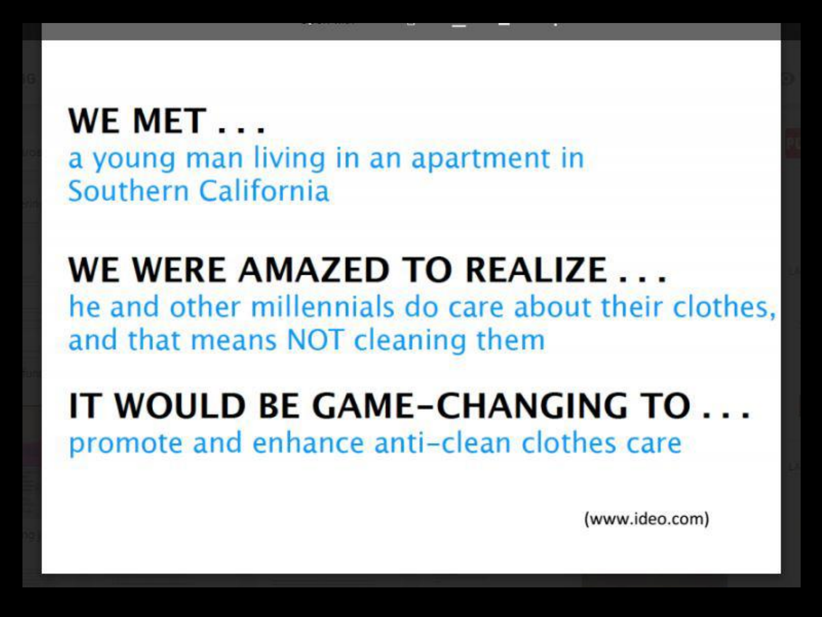#### **WE MET...** a young man living in an apartment in Southern California

#### WE WERE AMAZED TO REALIZE... he and other millennials do care about their clothes, and that means NOT cleaning them

### IT WOULD BE GAME-CHANGING TO ... promote and enhance anti-clean clothes care

(www.ideo.com)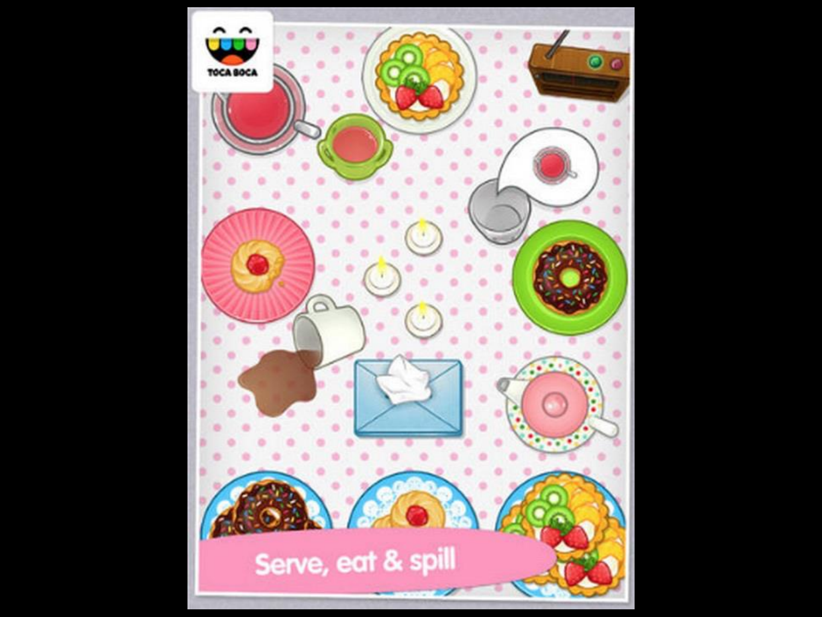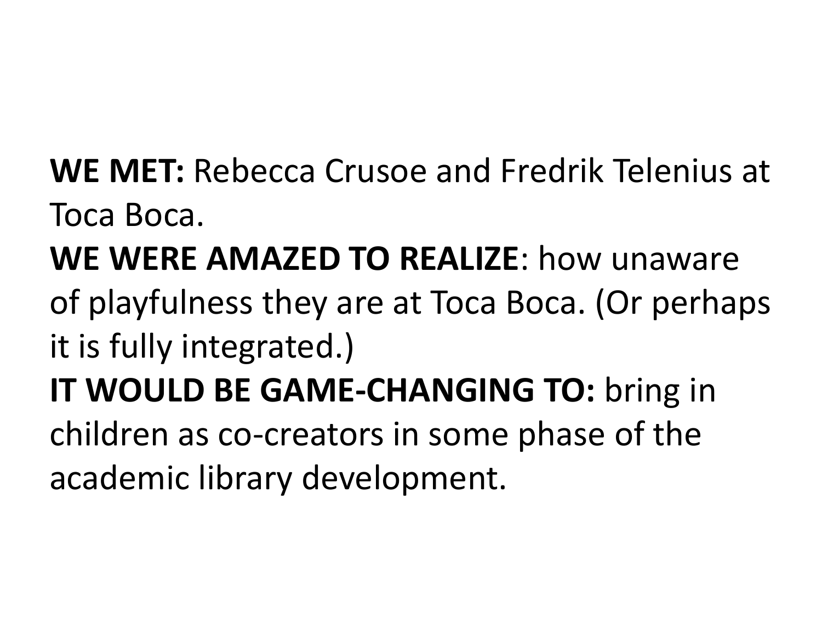### **WE MET:** Rebecca Crusoe and Fredrik Telenius at Toca Boca.

## **WE WERE AMAZED TO REALIZE**: how unaware

### of playfulness they are at Toca Boca. (Or perhaps it is fully integrated.)

### **IT WOULD BE GAME-CHANGING TO:** bring in children as co-creators in some phase of the academic library development.